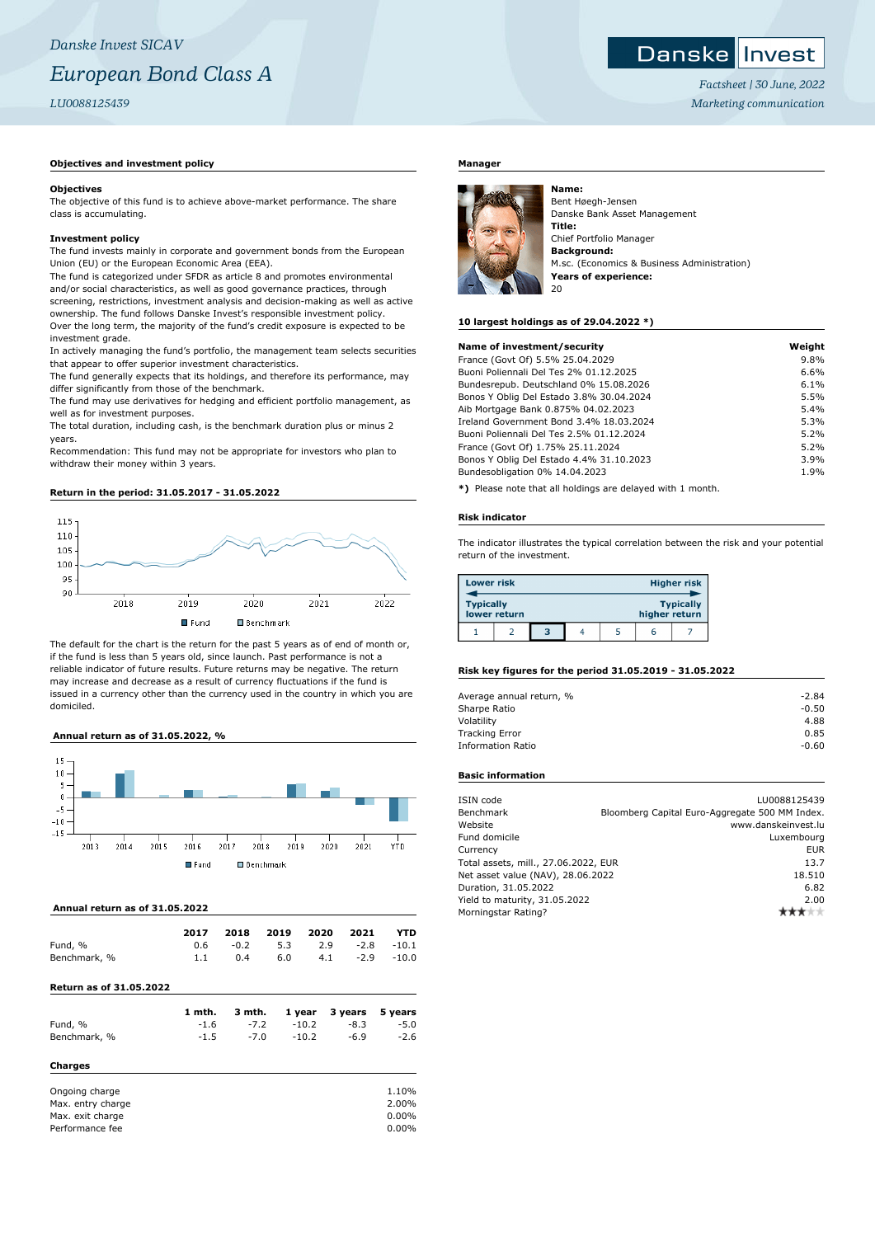# *Danske Invest SICAV European Bond Class A LU0088125439*

## **Objectives and investment policy**

#### **Objectives**

The objective of this fund is to achieve above-market performance. The share class is accumulating.

#### **Investment policy**

The fund invests mainly in corporate and government bonds from the European Union (EU) or the European Economic Area (EEA).

The fund is categorized under SFDR as article 8 and promotes environmental and/or social characteristics, as well as good governance practices, through screening, restrictions, investment analysis and decision-making as well as active ownership. The fund follows Danske Invest's responsible investment policy. Over the long term, the majority of the fund's credit exposure is expected to be investment grade.

In actively managing the fund's portfolio, the management team selects securities that appear to offer superior investment characteristics.

The fund generally expects that its holdings, and therefore its performance, may differ significantly from those of the benchmark.

The fund may use derivatives for hedging and efficient portfolio management, as well as for investment purposes.

The total duration, including cash, is the benchmark duration plus or minus 2 years.

Recommendation: This fund may not be appropriate for investors who plan to withdraw their money within 3 years.

# **Return in the period: 31.05.2017 - 31.05.2022**



The default for the chart is the return for the past 5 years as of end of month or, if the fund is less than 5 years old, since launch. Past performance is not a reliable indicator of future results. Future returns may be negative. The return may increase and decrease as a result of currency fluctuations if the fund is issued in a currency other than the currency used in the country in which you are domiciled.

## **Annual return as of 31.05.2022, %**



## **Annual return as of 31.05.2022**

|              | 2017 | 2018   | 2019 | 2020 | 2021   | <b>YTD</b>    |
|--------------|------|--------|------|------|--------|---------------|
| Fund, %      | 0.6  | $-0.2$ | 5.3  | 2.9  |        | $-2.8 - 10.1$ |
| Benchmark, % | 1.1  | 0.4    | 6.0  | 4.1  | $-2.9$ | -10.0         |
|              |      |        |      |      |        |               |

# **Return as of 31.05.2022**

|                | 1 mth. | 3 mth. | 1 year  | 3 years | 5 years |
|----------------|--------|--------|---------|---------|---------|
| Fund, %        | $-1.6$ | $-7.2$ | $-10.2$ | $-8.3$  | $-5.0$  |
| Benchmark, %   | $-1.5$ | $-7.0$ | $-10.2$ | $-6.9$  | $-2.6$  |
| Charges        |        |        |         |         |         |
| Ongoing charge |        |        |         |         | 1.10%   |

| Max. entry charge | 2.00%    |
|-------------------|----------|
| Max. exit charge  | $0.00\%$ |
| Performance fee   | $0.00\%$ |

# **Manager**



Bent Høegh-Jensen Danske Bank Asset Management **Title:** Chief Portfolio Manager **Background:** M.sc. (Economics & Business Administration) **Years of experience:** 20

#### **10 largest holdings as of 29.04.2022 \*)**

**Name:**

| Name of investment/security              | Weight |
|------------------------------------------|--------|
| France (Govt Of) 5.5% 25.04.2029         | 9.8%   |
| Buoni Poliennali Del Tes 2% 01.12.2025   | 6.6%   |
| Bundesrepub. Deutschland 0% 15.08.2026   | 6.1%   |
| Bonos Y Oblig Del Estado 3.8% 30.04.2024 | 5.5%   |
| Aib Mortgage Bank 0.875% 04.02.2023      | 5.4%   |
| Ireland Government Bond 3.4% 18.03.2024  | 5.3%   |
| Buoni Poliennali Del Tes 2.5% 01.12.2024 | 5.2%   |
| France (Govt Of) 1.75% 25.11.2024        | 5.2%   |
| Bonos Y Oblig Del Estado 4.4% 31.10.2023 | 3.9%   |
| Bundesobligation 0% 14.04.2023           | 1.9%   |

**\*)** Please note that all holdings are delayed with 1 month.

#### **Risk indicator**

The indicator illustrates the typical correlation between the risk and your potential return of the investment.

| <b>Lower risk</b> |              |   |  | <b>Higher risk</b> |                  |
|-------------------|--------------|---|--|--------------------|------------------|
| <b>Typically</b>  | lower return |   |  | higher return      | <b>Typically</b> |
|                   |              | 3 |  | r                  |                  |

#### **Risk key figures for the period 31.05.2019 - 31.05.2022**

| Average annual return, % | $-2.84$ |
|--------------------------|---------|
| Sharpe Ratio             | $-0.50$ |
| Volatility               | 4.88    |
| <b>Tracking Error</b>    | 0.85    |
| <b>Information Ratio</b> | $-0.60$ |
|                          |         |

## **Basic information**

| LU0088125439                                   |
|------------------------------------------------|
| Bloomberg Capital Euro-Aggregate 500 MM Index. |
| www.danskeinvest.lu                            |
| Luxembourg                                     |
| <b>EUR</b>                                     |
| Total assets, mill., 27.06.2022, EUR<br>13.7   |
| Net asset value (NAV), 28.06.2022<br>18.510    |
| 6.82                                           |
| 2.00                                           |
|                                                |
|                                                |

Danske Invest

*Factsheet | 30 June, 2022 Marketing communication*